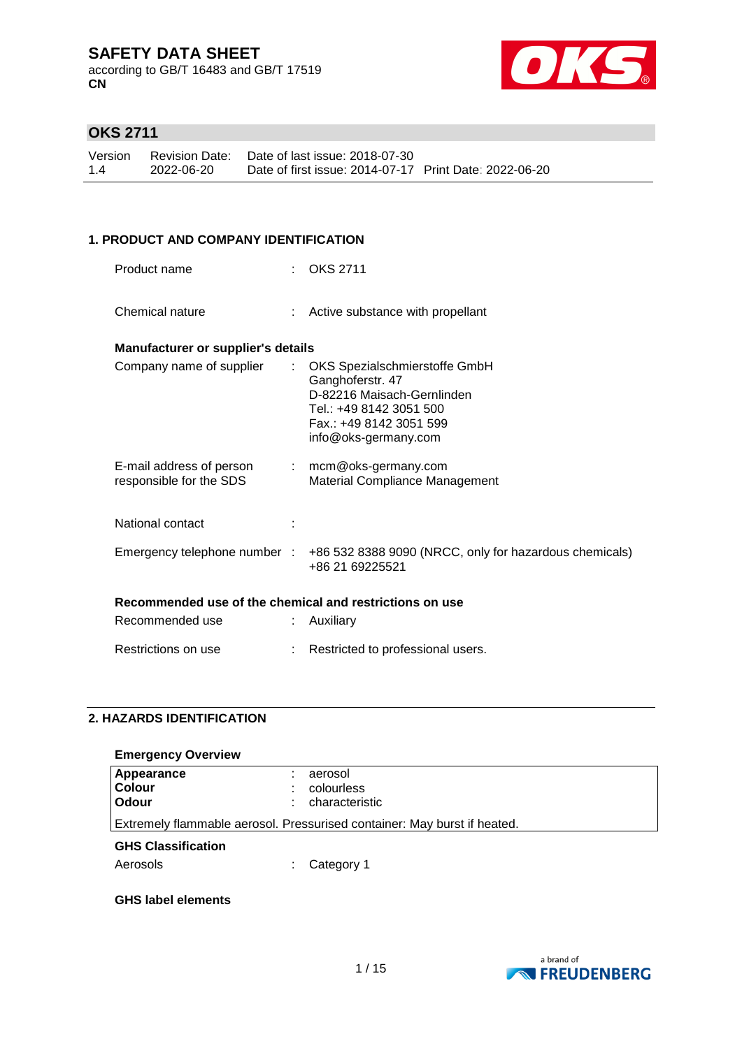according to GB/T 16483 and GB/T 17519 **CN**



### **OKS 2711**

| Version |            | Revision Date: Date of last issue: 2018-07-30          |  |
|---------|------------|--------------------------------------------------------|--|
| 1.4     | 2022-06-20 | Date of first issue: 2014-07-17 Print Date: 2022-06-20 |  |

#### **1. PRODUCT AND COMPANY IDENTIFICATION**

| Product name                                            |   | <b>OKS 2711</b>                                                                                                                                               |
|---------------------------------------------------------|---|---------------------------------------------------------------------------------------------------------------------------------------------------------------|
| Chemical nature                                         |   | : Active substance with propellant                                                                                                                            |
| <b>Manufacturer or supplier's details</b>               |   |                                                                                                                                                               |
| Company name of supplier                                | ÷ | OKS Spezialschmierstoffe GmbH<br>Ganghoferstr. 47<br>D-82216 Maisach-Gernlinden<br>Tel.: +49 8142 3051 500<br>Fax.: +49 8142 3051 599<br>info@oks-germany.com |
| E-mail address of person<br>responsible for the SDS     |   | $:$ mcm@oks-germany.com<br><b>Material Compliance Management</b>                                                                                              |
| National contact                                        |   |                                                                                                                                                               |
| Emergency telephone number :                            |   | +86 532 8388 9090 (NRCC, only for hazardous chemicals)<br>+86 21 69225521                                                                                     |
| Recommended use of the chemical and restrictions on use |   |                                                                                                                                                               |
| Recommended use                                         |   | Auxiliary                                                                                                                                                     |
| Restrictions on use                                     |   | Restricted to professional users.                                                                                                                             |

### **2. HAZARDS IDENTIFICATION**

| <b>Emergency Overview</b>                                                |                     |  |  |
|--------------------------------------------------------------------------|---------------------|--|--|
| Appearance                                                               | aerosol             |  |  |
| <b>Colour</b>                                                            | colourless          |  |  |
| Odour                                                                    | characteristic<br>÷ |  |  |
| Extremely flammable aerosol. Pressurised container: May burst if heated. |                     |  |  |
| <b>GHS Classification</b>                                                |                     |  |  |
| Aerosols                                                                 | Category 1          |  |  |

#### **GHS label elements**

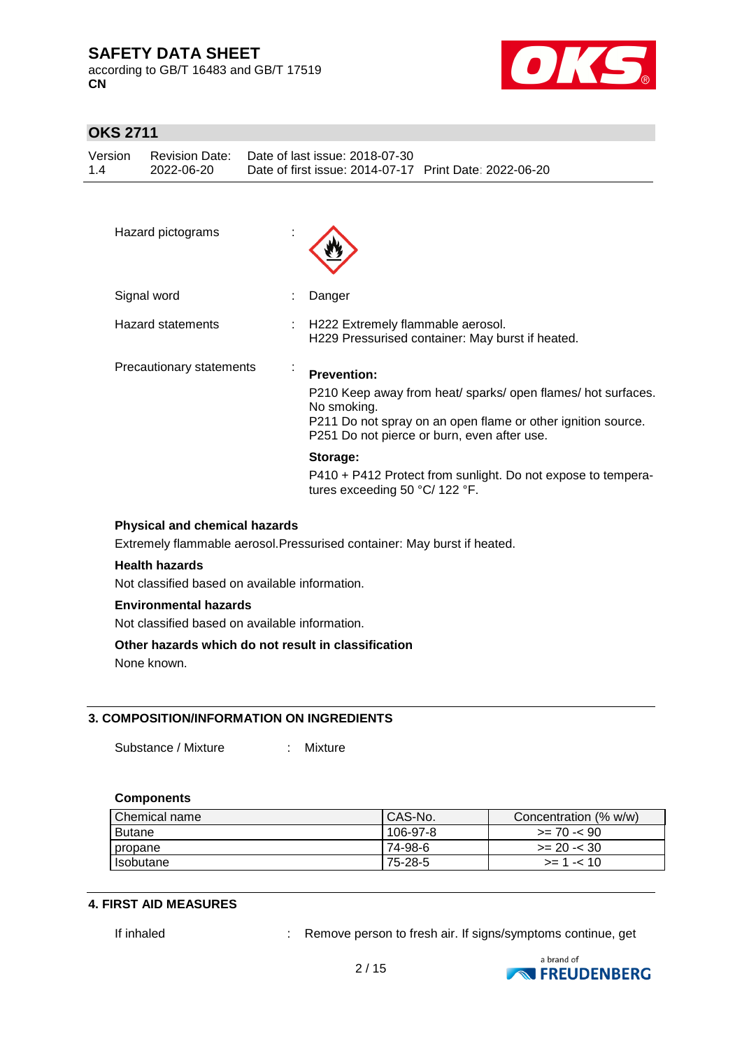according to GB/T 16483 and GB/T 17519 **CN**



### **OKS 2711**

| Version |            | Revision Date: Date of last issue: 2018-07-30          |  |
|---------|------------|--------------------------------------------------------|--|
| 1.4     | 2022-06-20 | Date of first issue: 2014-07-17 Print Date: 2022-06-20 |  |

| Hazard pictograms                                                                                                |                                                                                                                                                                                                                  |  |
|------------------------------------------------------------------------------------------------------------------|------------------------------------------------------------------------------------------------------------------------------------------------------------------------------------------------------------------|--|
| Signal word                                                                                                      | Danger                                                                                                                                                                                                           |  |
| <b>Hazard statements</b>                                                                                         | H222 Extremely flammable aerosol.<br>H229 Pressurised container: May burst if heated.                                                                                                                            |  |
| Precautionary statements<br>$\blacksquare$                                                                       | <b>Prevention:</b><br>P210 Keep away from heat/ sparks/ open flames/ hot surfaces.<br>No smoking.<br>P211 Do not spray on an open flame or other ignition source.<br>P251 Do not pierce or burn, even after use. |  |
|                                                                                                                  | Storage:<br>P410 + P412 Protect from sunlight. Do not expose to tempera-<br>tures exceeding 50 $^{\circ}$ C/ 122 $^{\circ}$ F.                                                                                   |  |
| <b>Physical and chemical hazards</b><br>Extremely flammable aerosol. Pressurised container: May burst if heated. |                                                                                                                                                                                                                  |  |

#### **Health hazards**

Not classified based on available information.

#### **Environmental hazards**

Not classified based on available information.

#### **Other hazards which do not result in classification**

None known.

#### **3. COMPOSITION/INFORMATION ON INGREDIENTS**

Substance / Mixture : Mixture

#### **Components**

| Chemical name | CAS-No.  | Concentration (% w/w) |
|---------------|----------|-----------------------|
| <b>Butane</b> | 106-97-8 | $>= 70 - 90$          |
| propane       | 74-98-6  | $>= 20 - 30$          |
| Isobutane     | 75-28-5  | $>= 1 - 10$           |

#### **4. FIRST AID MEASURES**

If inhaled : Remove person to fresh air. If signs/symptoms continue, get

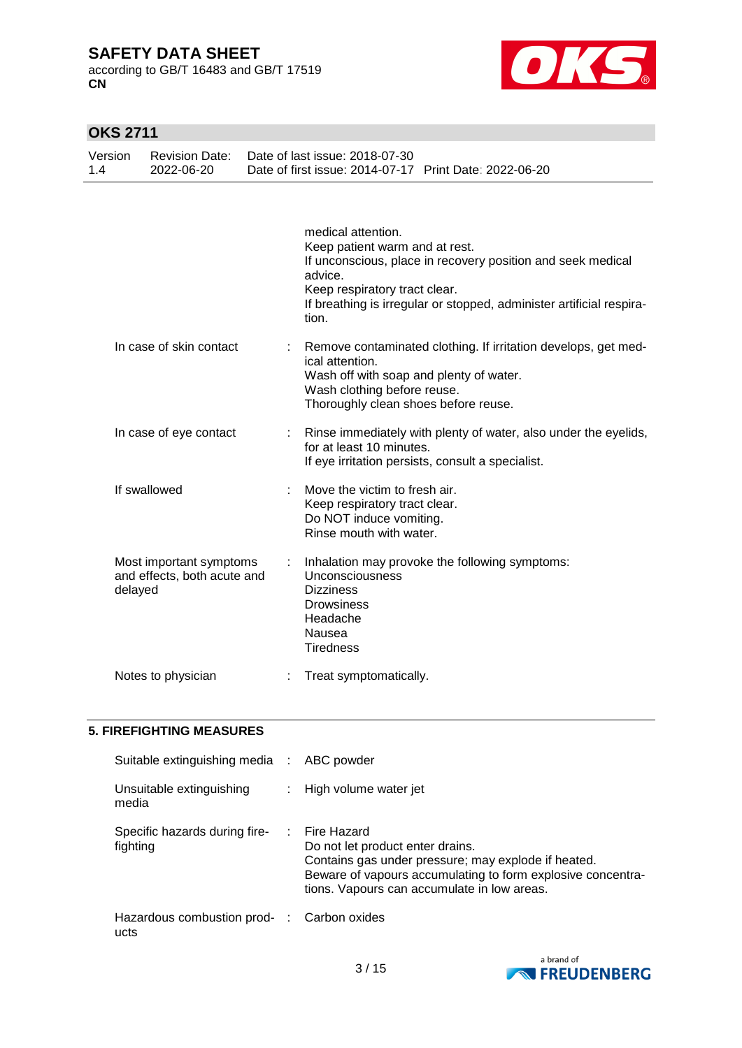according to GB/T 16483 and GB/T 17519 **CN**



### **OKS 2711**

| Version<br>1.4 | <b>Revision Date:</b><br>2022-06-20                    | Date of last issue: 2018-07-30<br>Date of first issue: 2014-07-17 Print Date: 2022-06-20                                                                                                                                                         |
|----------------|--------------------------------------------------------|--------------------------------------------------------------------------------------------------------------------------------------------------------------------------------------------------------------------------------------------------|
|                |                                                        | medical attention.<br>Keep patient warm and at rest.<br>If unconscious, place in recovery position and seek medical<br>advice.<br>Keep respiratory tract clear.<br>If breathing is irregular or stopped, administer artificial respira-<br>tion. |
|                | In case of skin contact                                | Remove contaminated clothing. If irritation develops, get med-<br>ical attention.<br>Wash off with soap and plenty of water.<br>Wash clothing before reuse.<br>Thoroughly clean shoes before reuse.                                              |
|                | In case of eye contact                                 | Rinse immediately with plenty of water, also under the eyelids,<br>for at least 10 minutes.<br>If eye irritation persists, consult a specialist.                                                                                                 |
|                | If swallowed                                           | Move the victim to fresh air.<br>Keep respiratory tract clear.<br>Do NOT induce vomiting.<br>Rinse mouth with water.                                                                                                                             |
| delayed        | Most important symptoms<br>and effects, both acute and | Inhalation may provoke the following symptoms:<br>Unconsciousness<br><b>Dizziness</b><br><b>Drowsiness</b><br>Headache<br>Nausea<br><b>Tiredness</b>                                                                                             |
|                | Notes to physician                                     | Treat symptomatically.                                                                                                                                                                                                                           |
|                | <b>5. FIREFIGHTING MEASURES</b>                        |                                                                                                                                                                                                                                                  |

| Suitable extinguishing media : ABC powder          |                                                                                                                                                                                                                                   |
|----------------------------------------------------|-----------------------------------------------------------------------------------------------------------------------------------------------------------------------------------------------------------------------------------|
| Unsuitable extinguishing<br>media                  | : High volume water jet                                                                                                                                                                                                           |
| Specific hazards during fire-<br>fighting          | $\therefore$ Fire Hazard<br>Do not let product enter drains.<br>Contains gas under pressure; may explode if heated.<br>Beware of vapours accumulating to form explosive concentra-<br>tions. Vapours can accumulate in low areas. |
| Hazardous combustion prod- : Carbon oxides<br>ucts |                                                                                                                                                                                                                                   |

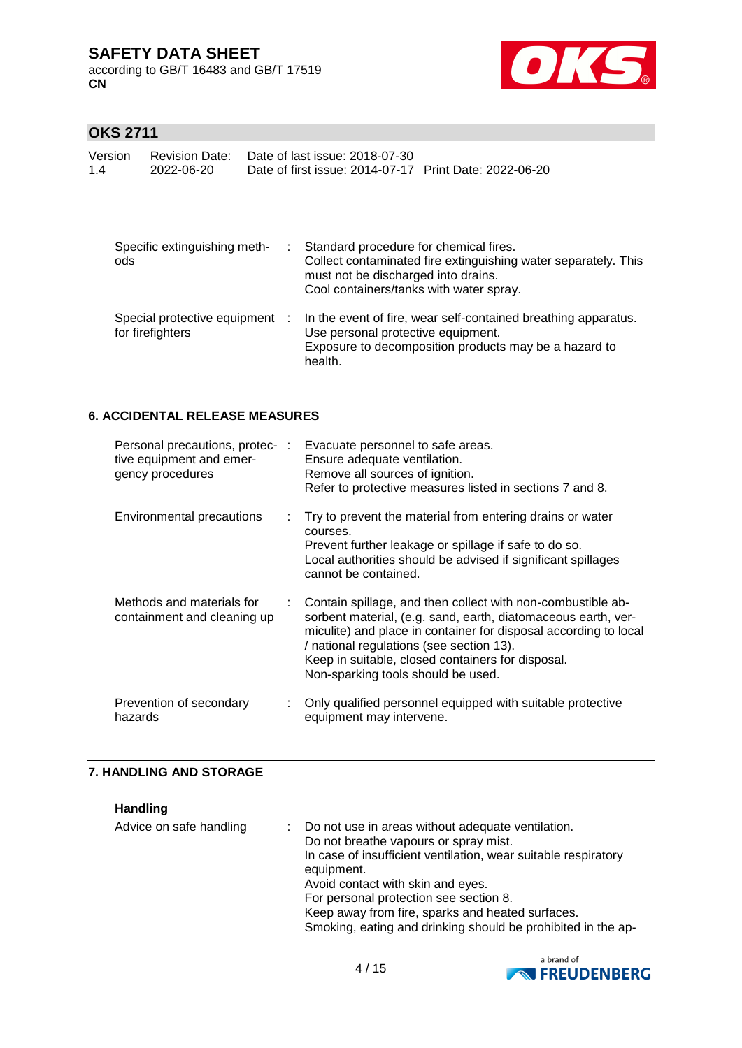according to GB/T 16483 and GB/T 17519 **CN**



### **OKS 2711**

| Version<br>14 | 2022-06-20 | Revision Date: Date of last issue: 2018-07-30<br>Date of first issue: 2014-07-17 Print Date: 2022-06-20 |  |
|---------------|------------|---------------------------------------------------------------------------------------------------------|--|
|               |            |                                                                                                         |  |

| Specific extinguishing meth-<br>ods              | Standard procedure for chemical fires.<br>Collect contaminated fire extinguishing water separately. This<br>must not be discharged into drains.<br>Cool containers/tanks with water spray. |
|--------------------------------------------------|--------------------------------------------------------------------------------------------------------------------------------------------------------------------------------------------|
| Special protective equipment<br>for firefighters | In the event of fire, wear self-contained breathing apparatus.<br>Use personal protective equipment.<br>Exposure to decomposition products may be a hazard to<br>health.                   |

#### **6. ACCIDENTAL RELEASE MEASURES**

| Personal precautions, protec- :<br>tive equipment and emer-<br>gency procedures | Evacuate personnel to safe areas.<br>Ensure adequate ventilation.<br>Remove all sources of ignition.<br>Refer to protective measures listed in sections 7 and 8.                                                                                                                                                                        |
|---------------------------------------------------------------------------------|-----------------------------------------------------------------------------------------------------------------------------------------------------------------------------------------------------------------------------------------------------------------------------------------------------------------------------------------|
| Environmental precautions                                                       | : Try to prevent the material from entering drains or water<br>courses.<br>Prevent further leakage or spillage if safe to do so.<br>Local authorities should be advised if significant spillages<br>cannot be contained.                                                                                                                |
| Methods and materials for<br>containment and cleaning up                        | Contain spillage, and then collect with non-combustible ab-<br>sorbent material, (e.g. sand, earth, diatomaceous earth, ver-<br>miculite) and place in container for disposal according to local<br>/ national regulations (see section 13).<br>Keep in suitable, closed containers for disposal.<br>Non-sparking tools should be used. |
| Prevention of secondary<br>hazards                                              | Only qualified personnel equipped with suitable protective<br>equipment may intervene.                                                                                                                                                                                                                                                  |

#### **7. HANDLING AND STORAGE**

**Handling**

| Advice on safe handling | : Do not use in areas without adequate ventilation.<br>Do not breathe vapours or spray mist.<br>In case of insufficient ventilation, wear suitable respiratory<br>equipment.<br>Avoid contact with skin and eyes.<br>For personal protection see section 8.<br>Keep away from fire, sparks and heated surfaces. |
|-------------------------|-----------------------------------------------------------------------------------------------------------------------------------------------------------------------------------------------------------------------------------------------------------------------------------------------------------------|
|                         | Smoking, eating and drinking should be prohibited in the ap-                                                                                                                                                                                                                                                    |

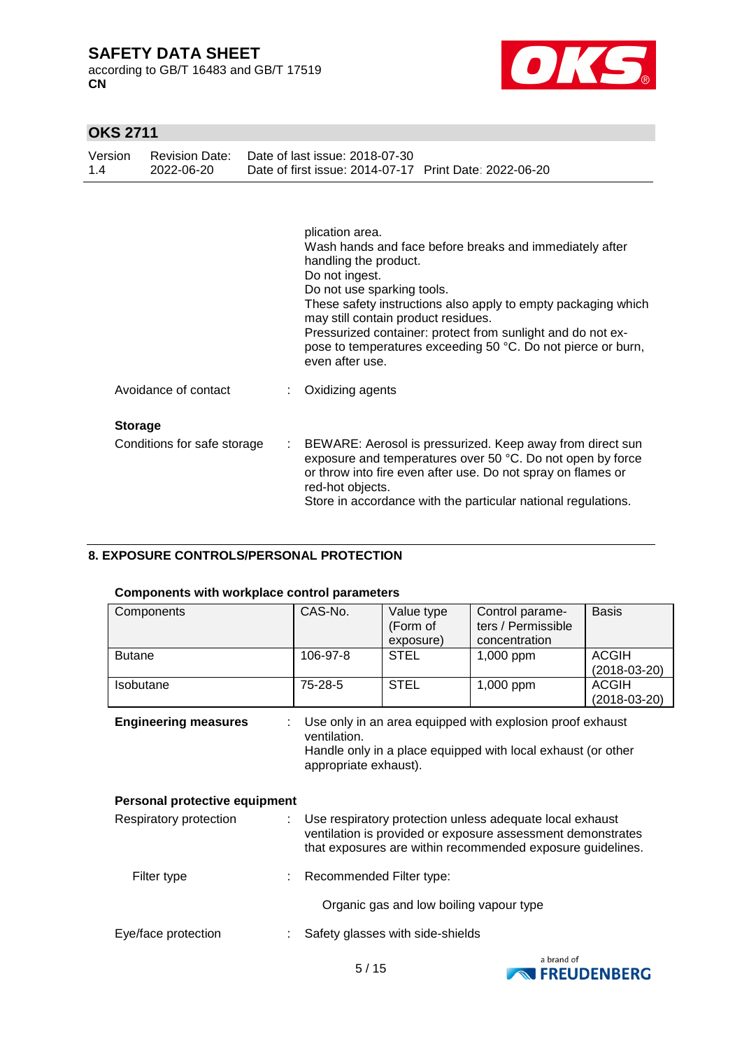according to GB/T 16483 and GB/T 17519 **CN**



### **OKS 2711**

| Version<br>1.4 | <b>Revision Date:</b><br>2022-06-20 | Date of last issue: 2018-07-30<br>Date of first issue: 2014-07-17 Print Date: 2022-06-20                                                                                                                                                                                                                                                                                                                      |
|----------------|-------------------------------------|---------------------------------------------------------------------------------------------------------------------------------------------------------------------------------------------------------------------------------------------------------------------------------------------------------------------------------------------------------------------------------------------------------------|
|                |                                     | plication area.<br>Wash hands and face before breaks and immediately after<br>handling the product.<br>Do not ingest.<br>Do not use sparking tools.<br>These safety instructions also apply to empty packaging which<br>may still contain product residues.<br>Pressurized container: protect from sunlight and do not ex-<br>pose to temperatures exceeding 50 °C. Do not pierce or burn,<br>even after use. |
|                | Avoidance of contact                | Oxidizing agents                                                                                                                                                                                                                                                                                                                                                                                              |
| <b>Storage</b> |                                     |                                                                                                                                                                                                                                                                                                                                                                                                               |
|                | Conditions for safe storage         | BEWARE: Aerosol is pressurized. Keep away from direct sun<br>exposure and temperatures over 50 °C. Do not open by force<br>or throw into fire even after use. Do not spray on flames or<br>red-hot objects.<br>Store in accordance with the particular national regulations.                                                                                                                                  |

#### **8. EXPOSURE CONTROLS/PERSONAL PROTECTION**

#### **Components with workplace control parameters**

| Components                                                                                                                                                                                                      | CAS-No.                                                                                                                                                            | Value type<br>(Form of<br>exposure) | Control parame-<br>ters / Permissible<br>concentration | <b>Basis</b>                   |  |  |
|-----------------------------------------------------------------------------------------------------------------------------------------------------------------------------------------------------------------|--------------------------------------------------------------------------------------------------------------------------------------------------------------------|-------------------------------------|--------------------------------------------------------|--------------------------------|--|--|
| <b>Butane</b>                                                                                                                                                                                                   | 106-97-8                                                                                                                                                           | <b>STEL</b>                         | 1,000 ppm                                              | <b>ACGIH</b><br>$(2018-03-20)$ |  |  |
| <b>Isobutane</b>                                                                                                                                                                                                | 75-28-5                                                                                                                                                            | <b>STEL</b>                         | 1,000 ppm                                              | <b>ACGIH</b><br>$(2018-03-20)$ |  |  |
| <b>Engineering measures</b><br>Personal protective equipment                                                                                                                                                    | Use only in an area equipped with explosion proof exhaust<br>ventilation.<br>Handle only in a place equipped with local exhaust (or other<br>appropriate exhaust). |                                     |                                                        |                                |  |  |
|                                                                                                                                                                                                                 |                                                                                                                                                                    |                                     |                                                        |                                |  |  |
| Use respiratory protection unless adequate local exhaust<br>Respiratory protection<br>ventilation is provided or exposure assessment demonstrates<br>that exposures are within recommended exposure guidelines. |                                                                                                                                                                    |                                     |                                                        |                                |  |  |
| Filter type                                                                                                                                                                                                     | Recommended Filter type:                                                                                                                                           |                                     |                                                        |                                |  |  |
| Organic gas and low boiling vapour type                                                                                                                                                                         |                                                                                                                                                                    |                                     |                                                        |                                |  |  |
| Eye/face protection                                                                                                                                                                                             | Safety glasses with side-shields                                                                                                                                   |                                     |                                                        |                                |  |  |

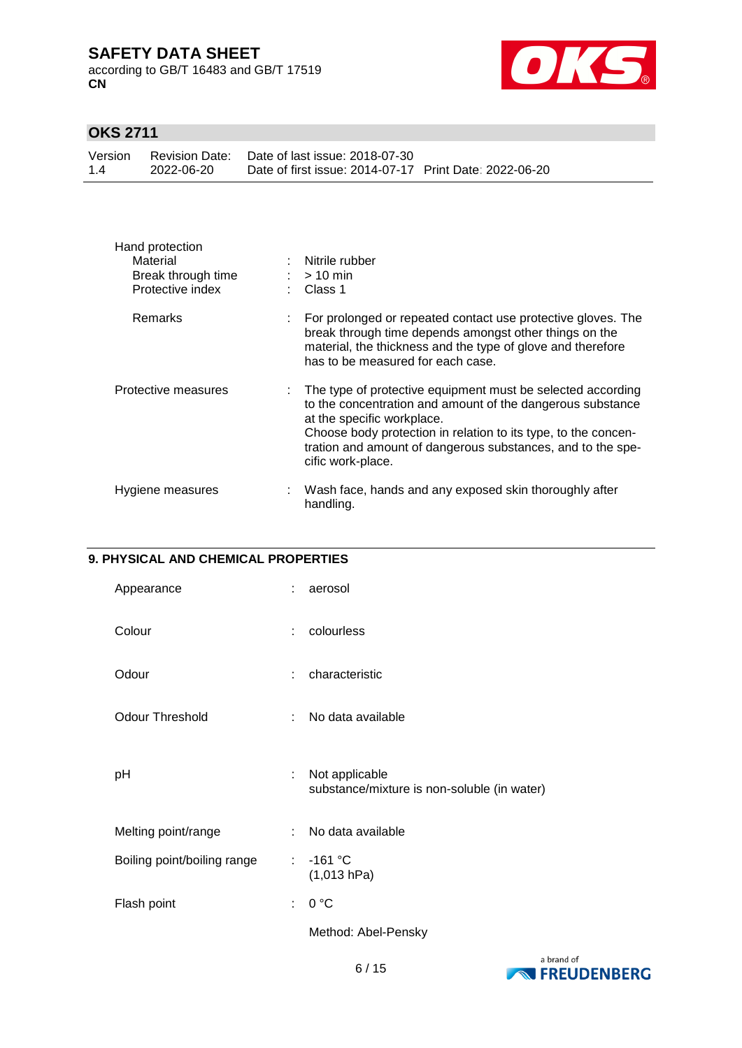according to GB/T 16483 and GB/T 17519 **CN**



# **OKS 2711**

|     |            | Version Revision Date: Date of last issue: 2018-07-30  |  |
|-----|------------|--------------------------------------------------------|--|
| 1.4 | 2022-06-20 | Date of first issue: 2014-07-17 Print Date: 2022-06-20 |  |

| Hand protection<br>Material<br>Break through time<br>Protective index |    | Nitrile rubber<br>$:$ > 10 min<br>: Class 1                                                                                                                                                                                                                                                                   |
|-----------------------------------------------------------------------|----|---------------------------------------------------------------------------------------------------------------------------------------------------------------------------------------------------------------------------------------------------------------------------------------------------------------|
| Remarks                                                               |    | For prolonged or repeated contact use protective gloves. The<br>break through time depends amongst other things on the<br>material, the thickness and the type of glove and therefore<br>has to be measured for each case.                                                                                    |
| Protective measures                                                   |    | The type of protective equipment must be selected according<br>to the concentration and amount of the dangerous substance<br>at the specific workplace.<br>Choose body protection in relation to its type, to the concen-<br>tration and amount of dangerous substances, and to the spe-<br>cific work-place. |
| Hygiene measures                                                      | ÷. | Wash face, hands and any exposed skin thoroughly after<br>handling.                                                                                                                                                                                                                                           |

#### **9. PHYSICAL AND CHEMICAL PROPERTIES**

| Appearance                  | ÷  | aerosol                                                       |
|-----------------------------|----|---------------------------------------------------------------|
| Colour                      | ÷  | colourless                                                    |
| Odour                       | ÷  | characteristic                                                |
| <b>Odour Threshold</b>      | t  | No data available                                             |
| рH                          | ÷  | Not applicable<br>substance/mixture is non-soluble (in water) |
| Melting point/range         | ÷  | No data available                                             |
| Boiling point/boiling range | ÷  | $-161 °C$<br>(1,013 hPa)                                      |
| Flash point                 | t. | 0 °C                                                          |
|                             |    | Method: Abel-Pensky                                           |

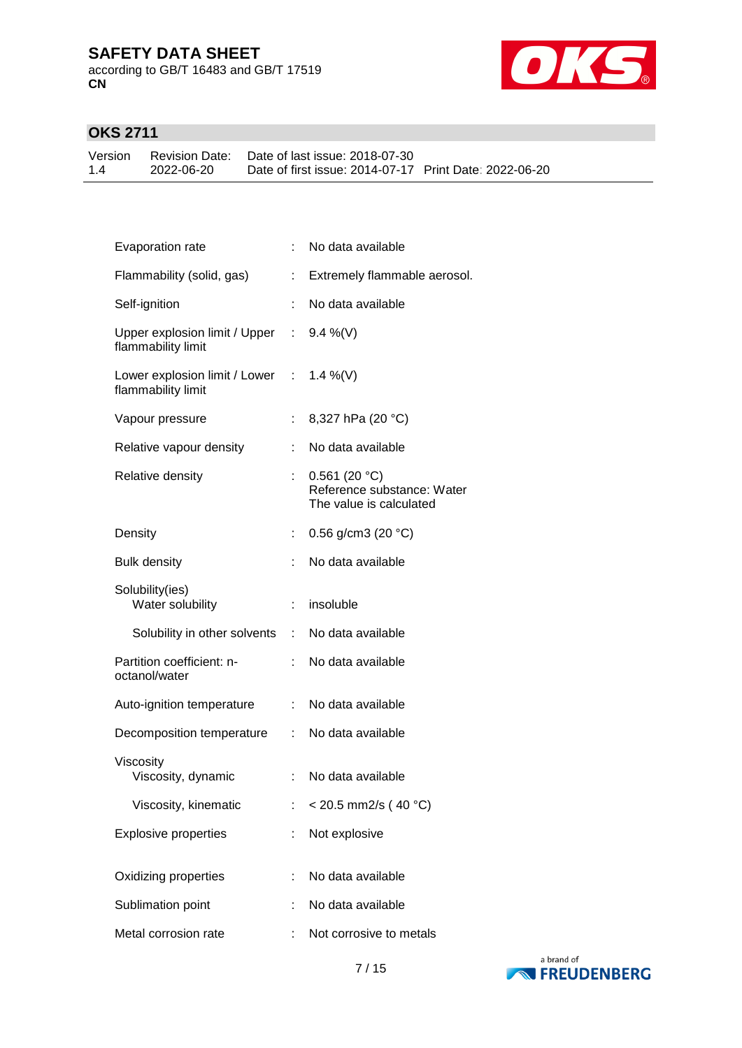according to GB/T 16483 and GB/T 17519 **CN**



### **OKS 2711**

Version 1.4 Revision Date: Date of last issue: 2018-07-30 2022-06-20 Date of first issue: 2014-07-17 Print Date: 2022-06-20

| Evaporation rate                                               |    | No data available                                                     |
|----------------------------------------------------------------|----|-----------------------------------------------------------------------|
| Flammability (solid, gas)                                      | ÷. | Extremely flammable aerosol.                                          |
| Self-ignition                                                  | ÷. | No data available                                                     |
| Upper explosion limit / Upper : 9.4 %(V)<br>flammability limit |    |                                                                       |
| Lower explosion limit / Lower : 1.4 %(V)<br>flammability limit |    |                                                                       |
| Vapour pressure                                                |    | 8,327 hPa (20 °C)                                                     |
| Relative vapour density                                        | t. | No data available                                                     |
| Relative density                                               | t. | 0.561(20 °C)<br>Reference substance: Water<br>The value is calculated |
| Density                                                        |    | : $0.56$ g/cm3 (20 °C)                                                |
| <b>Bulk density</b>                                            |    | No data available                                                     |
| Solubility(ies)<br>Water solubility                            | ÷. | insoluble                                                             |
| Solubility in other solvents : No data available               |    |                                                                       |
| Partition coefficient: n-<br>octanol/water                     | ÷. | No data available                                                     |
| Auto-ignition temperature                                      |    | : No data available                                                   |
| Decomposition temperature :                                    |    | No data available                                                     |
| Viscosity<br>Viscosity, dynamic                                | ÷. | No data available                                                     |
| Viscosity, kinematic                                           |    | $<$ 20.5 mm2/s (40 °C)                                                |
| <b>Explosive properties</b>                                    |    | Not explosive                                                         |
| Oxidizing properties                                           |    | No data available                                                     |
| Sublimation point                                              |    | No data available                                                     |
| Metal corrosion rate                                           |    | Not corrosive to metals                                               |
|                                                                |    |                                                                       |

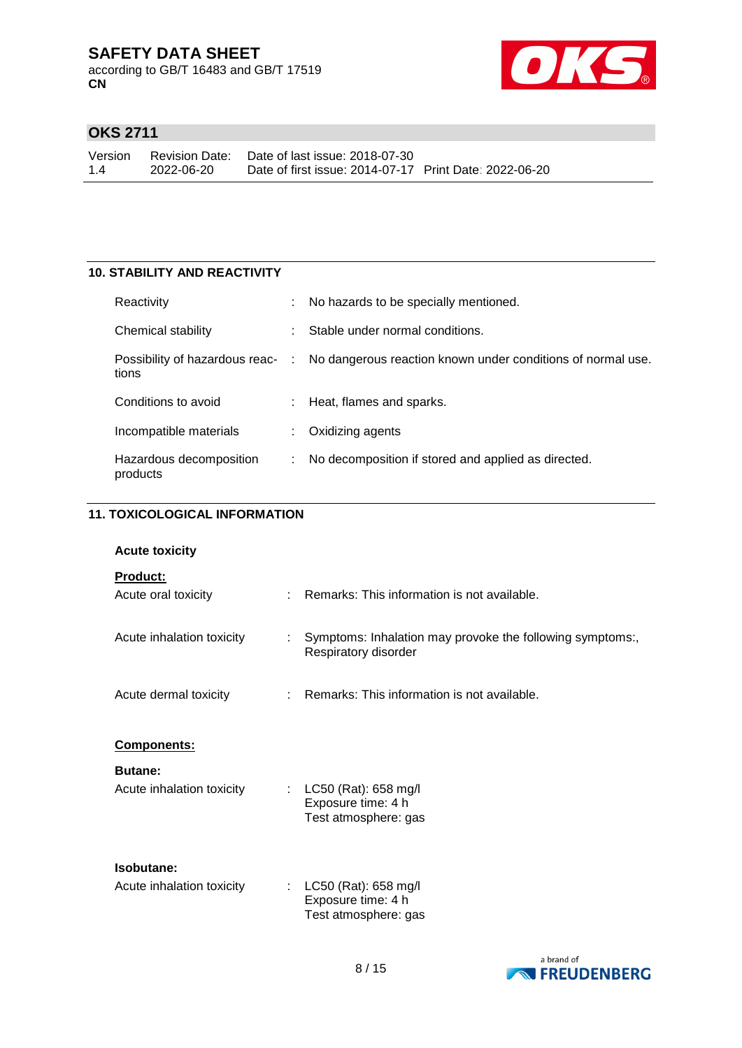according to GB/T 16483 and GB/T 17519 **CN**



### **OKS 2711**

Version 1.4 Revision Date: Date of last issue: 2018-07-30 2022-06-20 Date of first issue: 2014-07-17 Print Date: 2022-06-20

#### **10. STABILITY AND REACTIVITY**

| Reactivity                          |   | No hazards to be specially mentioned.                                                        |
|-------------------------------------|---|----------------------------------------------------------------------------------------------|
| Chemical stability                  |   | Stable under normal conditions.                                                              |
| tions                               |   | Possibility of hazardous reac- : No dangerous reaction known under conditions of normal use. |
| Conditions to avoid                 |   | : Heat, flames and sparks.                                                                   |
| Incompatible materials              |   | Oxidizing agents                                                                             |
| Hazardous decomposition<br>products | ÷ | No decomposition if stored and applied as directed.                                          |

#### **11. TOXICOLOGICAL INFORMATION**

| <b>Acute toxicity</b>                       |                           |                                                                                   |
|---------------------------------------------|---------------------------|-----------------------------------------------------------------------------------|
| Product:<br>Acute oral toxicity             |                           | Remarks: This information is not available.                                       |
| Acute inhalation toxicity                   |                           | Symptoms: Inhalation may provoke the following symptoms:,<br>Respiratory disorder |
| Acute dermal toxicity                       |                           | : Remarks: This information is not available.                                     |
| Components:                                 |                           |                                                                                   |
| <b>Butane:</b><br>Acute inhalation toxicity | $\mathbb{R}^{\mathbb{Z}}$ | LC50 (Rat): 658 mg/l<br>Exposure time: 4 h<br>Test atmosphere: gas                |
| Isobutane:<br>Acute inhalation toxicity     |                           | LC50 (Rat): 658 mg/l<br>Exposure time: 4 h<br>Test atmosphere: gas                |

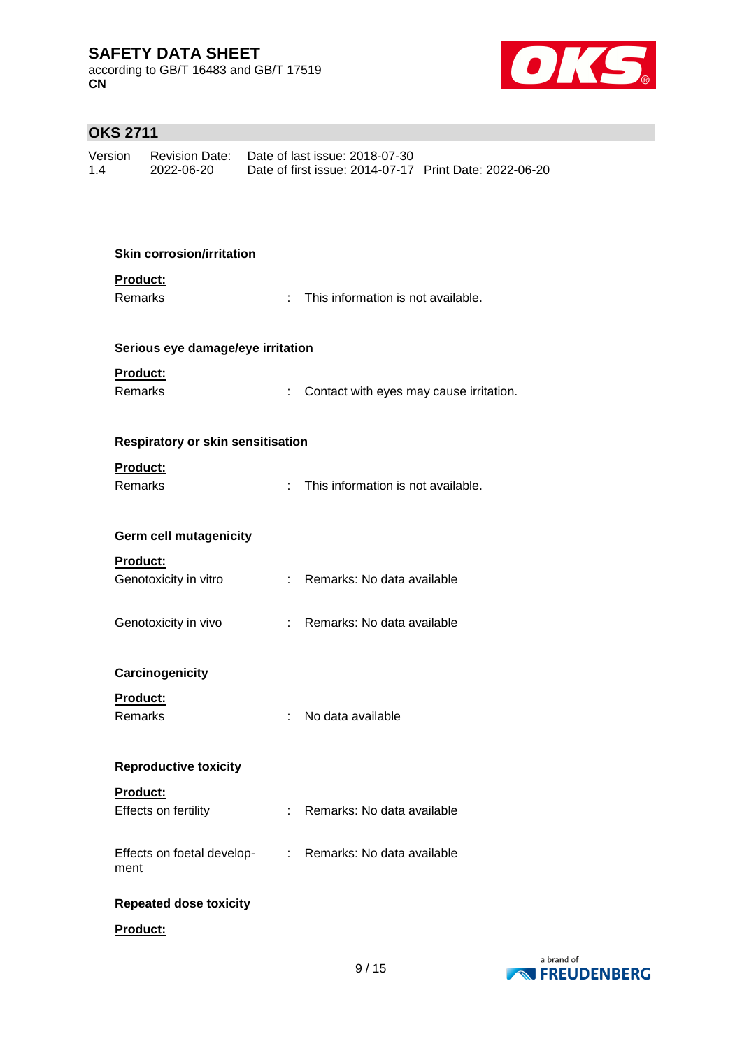according to GB/T 16483 and GB/T 17519 **CN**



# **OKS 2711**

| Version |            | Revision Date: Date of last issue: 2018-07-30          |  |
|---------|------------|--------------------------------------------------------|--|
| 1.4     | 2022-06-20 | Date of first issue: 2014-07-17 Print Date: 2022-06-20 |  |

| <b>Skin corrosion/irritation</b>   |    |                                         |
|------------------------------------|----|-----------------------------------------|
| Product:<br><b>Remarks</b>         | t. | This information is not available.      |
|                                    |    |                                         |
| Serious eye damage/eye irritation  |    |                                         |
| Product:                           |    |                                         |
| Remarks                            | t. | Contact with eyes may cause irritation. |
| Respiratory or skin sensitisation  |    |                                         |
| Product:                           |    |                                         |
| Remarks                            | ÷. | This information is not available.      |
| Germ cell mutagenicity             |    |                                         |
| Product:                           |    |                                         |
| Genotoxicity in vitro              |    | : Remarks: No data available            |
| Genotoxicity in vivo               |    | : Remarks: No data available            |
|                                    |    |                                         |
| Carcinogenicity                    |    |                                         |
| <b>Product:</b>                    |    |                                         |
| Remarks                            | ÷  | No data available                       |
| <b>Reproductive toxicity</b>       |    |                                         |
| Product:                           |    |                                         |
| Effects on fertility               |    | Remarks: No data available              |
| Effects on foetal develop-<br>ment | ÷. | Remarks: No data available              |
|                                    |    |                                         |
| <b>Repeated dose toxicity</b>      |    |                                         |
| Product:                           |    |                                         |

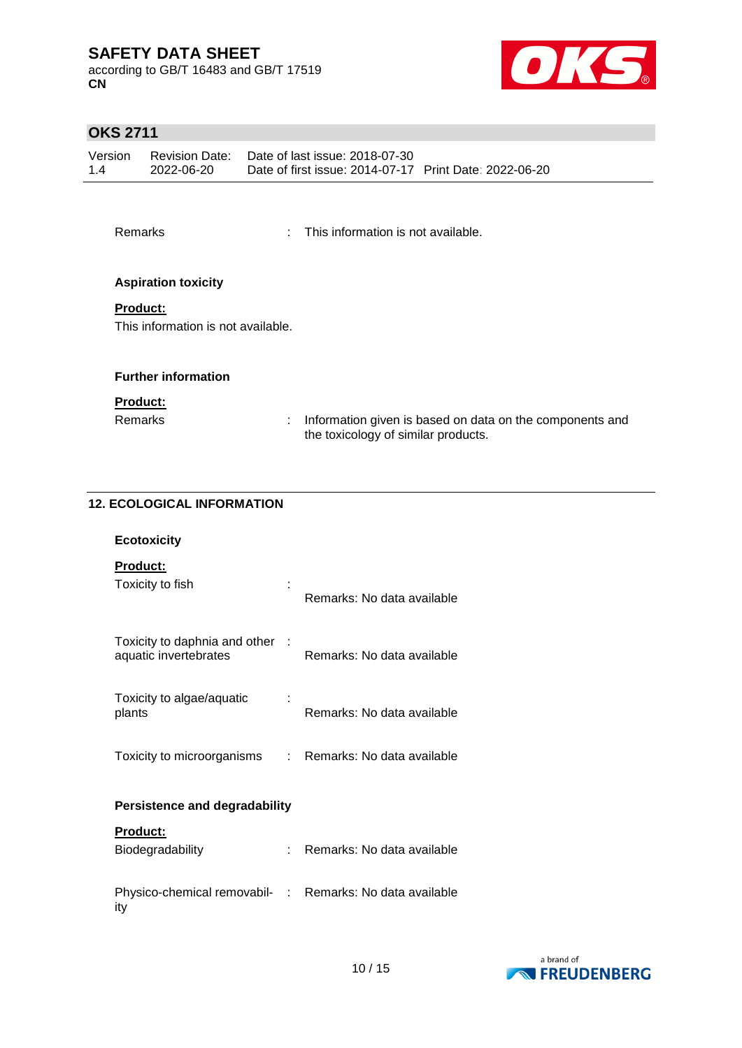according to GB/T 16483 and GB/T 17519 **CN**



### **OKS 2711**

| Version | Revision Date: | Date of last issue: 2018-07-30                         |  |
|---------|----------------|--------------------------------------------------------|--|
| 1.4     | 2022-06-20     | Date of first issue: 2014-07-17 Print Date: 2022-06-20 |  |

| Remarks |  | This information is not available. |
|---------|--|------------------------------------|
|---------|--|------------------------------------|

#### **Aspiration toxicity**

#### **Product:**

This information is not available.

#### **Further information**

#### **Product:**

Remarks : Information given is based on data on the components and the toxicology of similar products.

#### **12. ECOLOGICAL INFORMATION**

| <b>Ecotoxicity</b>                                     |      |                            |
|--------------------------------------------------------|------|----------------------------|
| <b>Product:</b><br>Toxicity to fish                    |      | Remarks: No data available |
| Toxicity to daphnia and other<br>aquatic invertebrates |      | Remarks: No data available |
| Toxicity to algae/aquatic<br>plants                    |      | Remarks: No data available |
| Toxicity to microorganisms                             | t.   | Remarks: No data available |
| <b>Persistence and degradability</b>                   |      |                            |
| <b>Product:</b>                                        |      |                            |
| Biodegradability                                       |      | Remarks: No data available |
| Physico-chemical removabil-<br>ity                     | t in | Remarks: No data available |

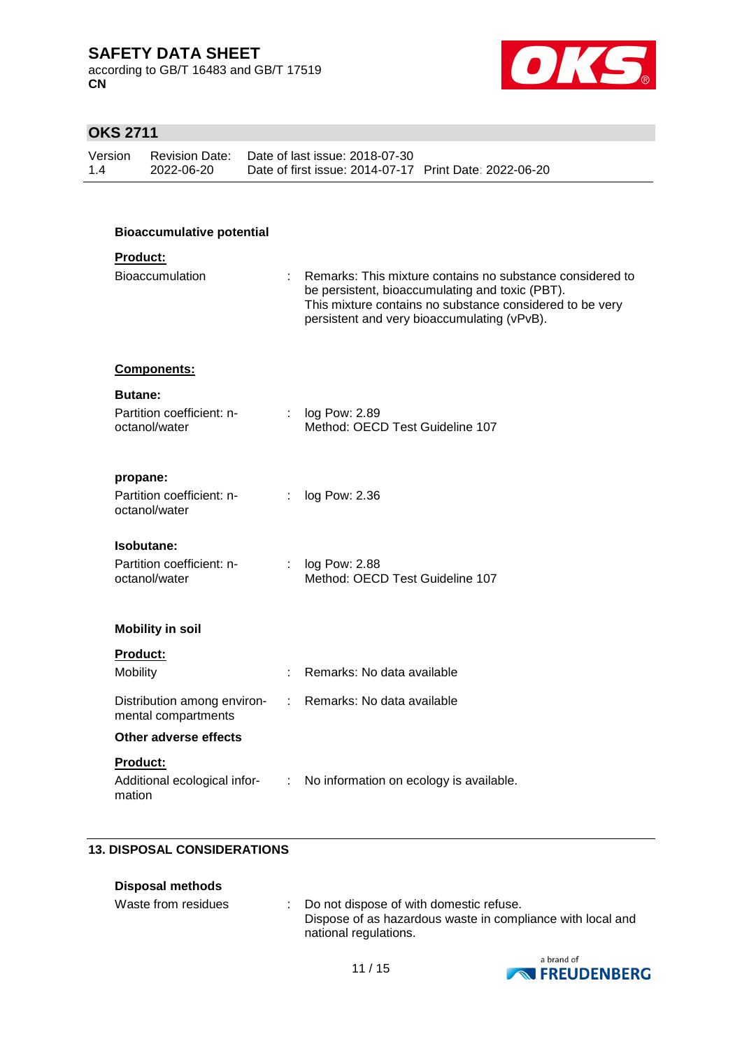according to GB/T 16483 and GB/T 17519 **CN**



### **OKS 2711**

| Version | Revision Date: | Date of last issue: 2018-07-30                         |  |
|---------|----------------|--------------------------------------------------------|--|
| 1.4     | 2022-06-20     | Date of first issue: 2014-07-17 Print Date: 2022-06-20 |  |

# **Bioaccumulative potential**

### **Product:**

| <b>Bioaccumulation</b> | Remarks: This mixture contains no substance considered to<br>be persistent, bioaccumulating and toxic (PBT).<br>This mixture contains no substance considered to be very<br>persistent and very bioaccumulating (vPvB). |
|------------------------|-------------------------------------------------------------------------------------------------------------------------------------------------------------------------------------------------------------------------|
|                        |                                                                                                                                                                                                                         |

#### **Components:**

| <b>Butane:</b>                             |                                                               |
|--------------------------------------------|---------------------------------------------------------------|
| Partition coefficient: n-<br>octanol/water | $\therefore$ log Pow: 2.89<br>Method: OECD Test Guideline 107 |

#### **propane:**

| Partition coefficient: n- | $\therefore$ log Pow: 2.36 |
|---------------------------|----------------------------|
| octanol/water             |                            |

#### **Isobutane:**

| Partition coefficient: n- | : $log$ Pow: 2.88               |
|---------------------------|---------------------------------|
| octanol/water             | Method: OECD Test Guideline 107 |

#### **Mobility in soil**

#### **Product:**

mation

| Mobility                                           | : Remarks: No data available              |
|----------------------------------------------------|-------------------------------------------|
| Distribution among environ-<br>mental compartments | : Remarks: No data available              |
| Other adverse effects                              |                                           |
| <b>Product:</b>                                    |                                           |
| Additional ecological infor-                       | : No information on ecology is available. |

#### **13. DISPOSAL CONSIDERATIONS**

| Disposal methods    |                                                                                                                                  |
|---------------------|----------------------------------------------------------------------------------------------------------------------------------|
| Waste from residues | : Do not dispose of with domestic refuse.<br>Dispose of as hazardous waste in compliance with local and<br>national regulations. |

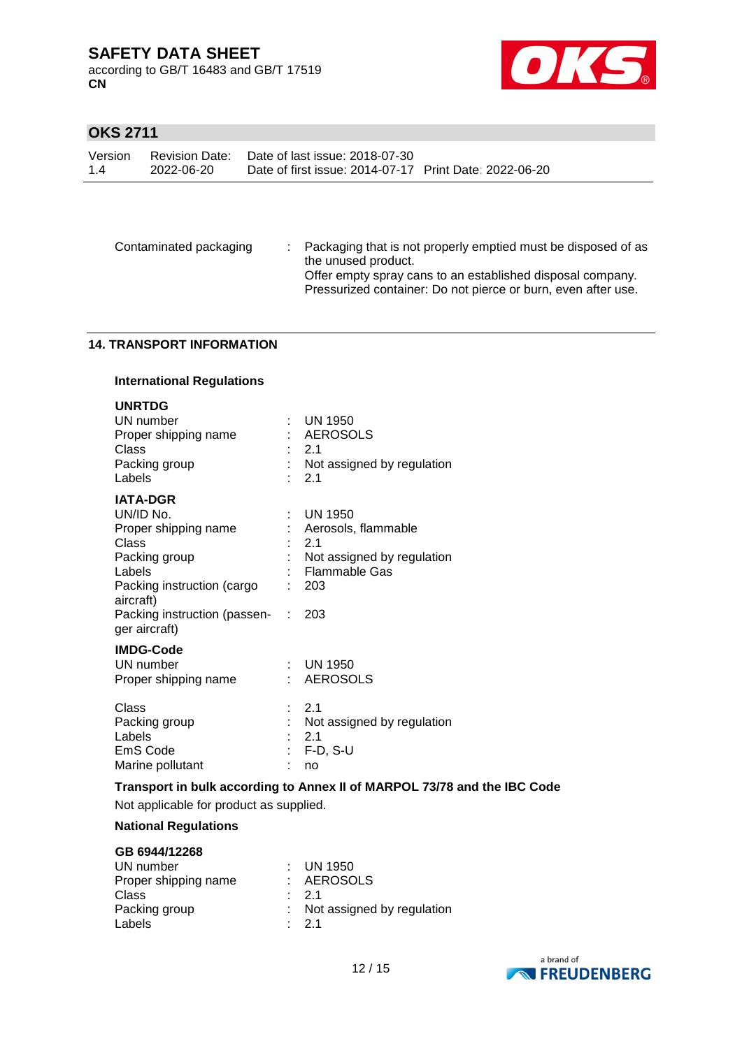according to GB/T 16483 and GB/T 17519 **CN**



### **OKS 2711**

| Version |            | Revision Date: Date of last issue: 2018-07-30          |  |
|---------|------------|--------------------------------------------------------|--|
| 1.4     | 2022-06-20 | Date of first issue: 2014-07-17 Print Date: 2022-06-20 |  |

Contaminated packaging : Packaging that is not properly emptied must be disposed of as the unused product. Offer empty spray cans to an established disposal company. Pressurized container: Do not pierce or burn, even after use.

#### **14. TRANSPORT INFORMATION**

| <b>International Regulations</b>                                                                                                                                                     |   |                                                                                                               |  |  |
|--------------------------------------------------------------------------------------------------------------------------------------------------------------------------------------|---|---------------------------------------------------------------------------------------------------------------|--|--|
| <b>UNRTDG</b><br>UN number<br>Proper shipping name<br>Class<br>Packing group<br>Labels                                                                                               |   | UN 1950<br>AEROSOLS<br>2.1<br>Not assigned by regulation<br>2.1                                               |  |  |
| <b>IATA-DGR</b><br>UN/ID No.<br>Proper shipping name<br>Class<br>Packing group<br>Labels<br>Packing instruction (cargo<br>aircraft)<br>Packing instruction (passen-<br>ger aircraft) | ÷ | <b>UN 1950</b><br>Aerosols, flammable<br>2.1<br>Not assigned by regulation<br>: Flammable Gas<br>- 203<br>203 |  |  |
| <b>IMDG-Code</b><br>UN number<br>Proper shipping name                                                                                                                                |   | $\therefore$ UN 1950<br><b>AEROSOLS</b>                                                                       |  |  |
| Class<br>Packing group<br>Labels<br>EmS Code<br>Marine pollutant                                                                                                                     |   | 2.1<br>Not assigned by regulation<br>2.1<br>F-D, S-U<br>no                                                    |  |  |

**Transport in bulk according to Annex II of MARPOL 73/78 and the IBC Code** Not applicable for product as supplied.

#### **National Regulations**

| GB 6944/12268        |                              |
|----------------------|------------------------------|
| UN number            | $\therefore$ UN 1950         |
| Proper shipping name | : AEROSOLS                   |
| Class                | $\cdot$ 21                   |
| Packing group        | : Not assigned by regulation |
| Labels               | $\cdot$ 21                   |

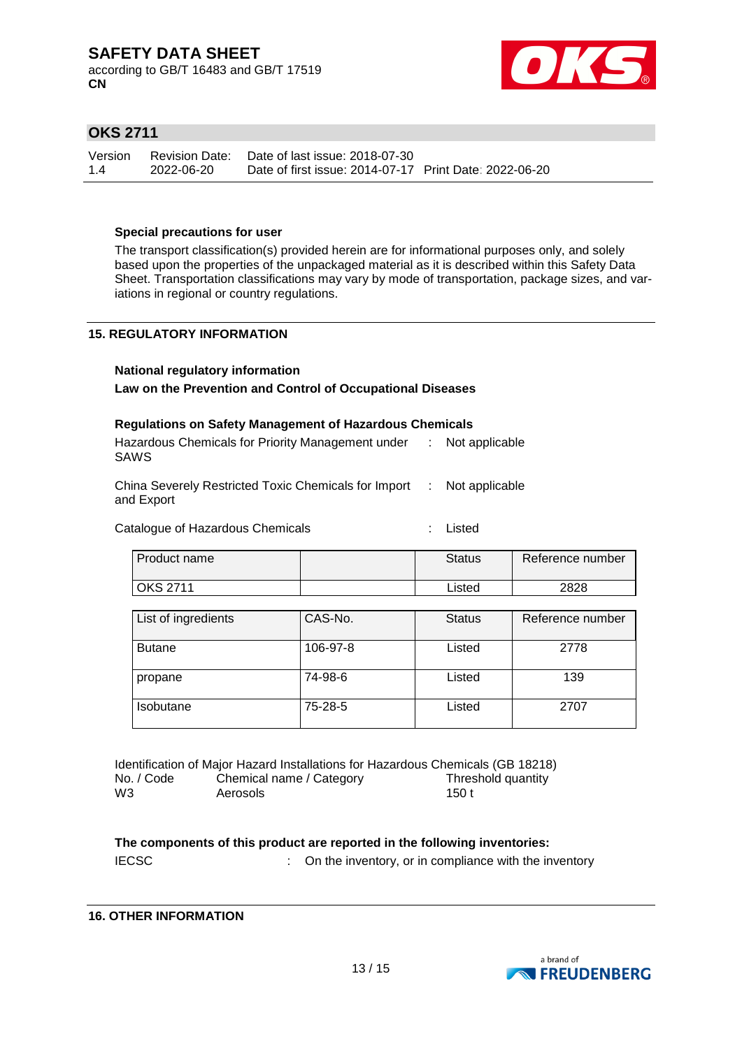according to GB/T 16483 and GB/T 17519 **CN**



### **OKS 2711**

| Version | Revision Date: | Date of last issue: 2018-07-30                         |  |
|---------|----------------|--------------------------------------------------------|--|
| 1.4     | 2022-06-20     | Date of first issue: 2014-07-17 Print Date: 2022-06-20 |  |

#### **Special precautions for user**

The transport classification(s) provided herein are for informational purposes only, and solely based upon the properties of the unpackaged material as it is described within this Safety Data Sheet. Transportation classifications may vary by mode of transportation, package sizes, and variations in regional or country regulations.

#### **15. REGULATORY INFORMATION**

# **National regulatory information**

### **Law on the Prevention and Control of Occupational Diseases**

| <b>Regulations on Safety Management of Hazardous Chemicals</b> |  |                  |  |
|----------------------------------------------------------------|--|------------------|--|
| Hazardous Chemicals for Priority Management under              |  | : Not applicable |  |
| <b>SAWS</b>                                                    |  |                  |  |

| China Severely Restricted Toxic Chemicals for Import : Not applicable |  |
|-----------------------------------------------------------------------|--|
| and Export                                                            |  |

Catalogue of Hazardous Chemicals **Example 2** : Listed

| l Product name  | <b>Status</b> | Reference number |
|-----------------|---------------|------------------|
| <b>OKS 2711</b> | ∟isted        | 2828             |

| List of ingredients | CAS-No.  | <b>Status</b> | Reference number |
|---------------------|----------|---------------|------------------|
| <b>Butane</b>       | 106-97-8 | Listed        | 2778             |
| propane             | 74-98-6  | Listed        | 139              |
| <b>Isobutane</b>    | 75-28-5  | Listed        | 2707             |

Identification of Major Hazard Installations for Hazardous Chemicals (GB 18218) No. / Code Chemical name / Category Threshold quantity W3 Aerosols 150 t

**The components of this product are reported in the following inventories:** IECSC **IECSC** : On the inventory, or in compliance with the inventory

#### **16. OTHER INFORMATION**

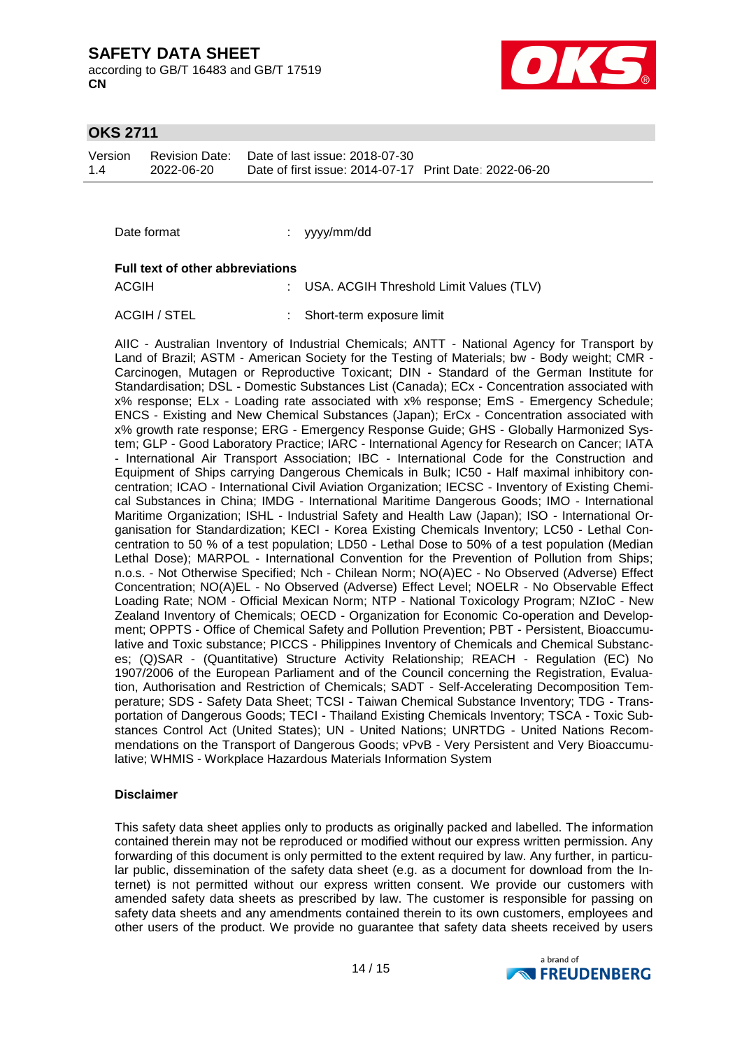according to GB/T 16483 and GB/T 17519 **CN**



#### **OKS 2711**

Version 1.4 Revision Date: 2022-06-20 Date of last issue: 2018-07-30 Date of first issue: 2014-07-17 Print Date: 2022-06-20

Date format : yyyy/mm/dd

#### **Full text of other abbreviations**

ACGIH : USA. ACGIH Threshold Limit Values (TLV)

ACGIH / STEL : Short-term exposure limit

AIIC - Australian Inventory of Industrial Chemicals; ANTT - National Agency for Transport by Land of Brazil; ASTM - American Society for the Testing of Materials; bw - Body weight; CMR - Carcinogen, Mutagen or Reproductive Toxicant; DIN - Standard of the German Institute for Standardisation; DSL - Domestic Substances List (Canada); ECx - Concentration associated with x% response; ELx - Loading rate associated with x% response; EmS - Emergency Schedule; ENCS - Existing and New Chemical Substances (Japan); ErCx - Concentration associated with x% growth rate response; ERG - Emergency Response Guide; GHS - Globally Harmonized System; GLP - Good Laboratory Practice; IARC - International Agency for Research on Cancer; IATA - International Air Transport Association; IBC - International Code for the Construction and Equipment of Ships carrying Dangerous Chemicals in Bulk; IC50 - Half maximal inhibitory concentration; ICAO - International Civil Aviation Organization; IECSC - Inventory of Existing Chemical Substances in China; IMDG - International Maritime Dangerous Goods; IMO - International Maritime Organization; ISHL - Industrial Safety and Health Law (Japan); ISO - International Organisation for Standardization; KECI - Korea Existing Chemicals Inventory; LC50 - Lethal Concentration to 50 % of a test population; LD50 - Lethal Dose to 50% of a test population (Median Lethal Dose); MARPOL - International Convention for the Prevention of Pollution from Ships; n.o.s. - Not Otherwise Specified; Nch - Chilean Norm; NO(A)EC - No Observed (Adverse) Effect Concentration; NO(A)EL - No Observed (Adverse) Effect Level; NOELR - No Observable Effect Loading Rate; NOM - Official Mexican Norm; NTP - National Toxicology Program; NZIoC - New Zealand Inventory of Chemicals; OECD - Organization for Economic Co-operation and Development; OPPTS - Office of Chemical Safety and Pollution Prevention; PBT - Persistent, Bioaccumulative and Toxic substance; PICCS - Philippines Inventory of Chemicals and Chemical Substances; (Q)SAR - (Quantitative) Structure Activity Relationship; REACH - Regulation (EC) No 1907/2006 of the European Parliament and of the Council concerning the Registration, Evaluation, Authorisation and Restriction of Chemicals; SADT - Self-Accelerating Decomposition Temperature; SDS - Safety Data Sheet; TCSI - Taiwan Chemical Substance Inventory; TDG - Transportation of Dangerous Goods; TECI - Thailand Existing Chemicals Inventory; TSCA - Toxic Substances Control Act (United States); UN - United Nations; UNRTDG - United Nations Recommendations on the Transport of Dangerous Goods; vPvB - Very Persistent and Very Bioaccumulative; WHMIS - Workplace Hazardous Materials Information System

#### **Disclaimer**

This safety data sheet applies only to products as originally packed and labelled. The information contained therein may not be reproduced or modified without our express written permission. Any forwarding of this document is only permitted to the extent required by law. Any further, in particular public, dissemination of the safety data sheet (e.g. as a document for download from the Internet) is not permitted without our express written consent. We provide our customers with amended safety data sheets as prescribed by law. The customer is responsible for passing on safety data sheets and any amendments contained therein to its own customers, employees and other users of the product. We provide no guarantee that safety data sheets received by users